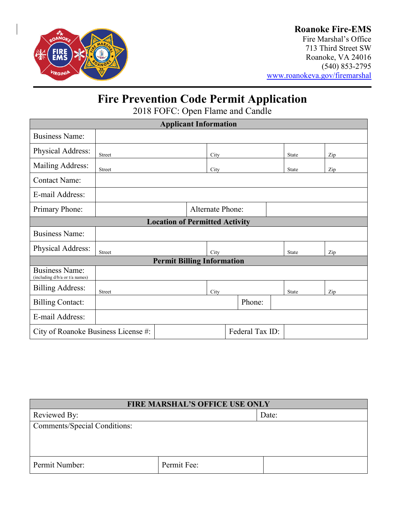

### **Roanoke Fire-EMS**

Fire Marshal's Office 713 Third Street SW Roanoke, VA 24016 (540) 853-2795 [www.roanokeva.gov/firemarshal](http://www.roanokeva.gov/firemarshal)

# **Fire Prevention Code Permit Application**

2018 FOFC: Open Flame and Candle

| <b>Applicant Information</b>                            |                         |  |      |        |  |              |     |  |  |
|---------------------------------------------------------|-------------------------|--|------|--------|--|--------------|-----|--|--|
| <b>Business Name:</b>                                   |                         |  |      |        |  |              |     |  |  |
| Physical Address:                                       | <b>Street</b>           |  | City |        |  | <b>State</b> | Zip |  |  |
| Mailing Address:                                        | Street                  |  | City |        |  | <b>State</b> | Zip |  |  |
| <b>Contact Name:</b>                                    |                         |  |      |        |  |              |     |  |  |
| E-mail Address:                                         |                         |  |      |        |  |              |     |  |  |
| Primary Phone:                                          | <b>Alternate Phone:</b> |  |      |        |  |              |     |  |  |
| <b>Location of Permitted Activity</b>                   |                         |  |      |        |  |              |     |  |  |
| <b>Business Name:</b>                                   |                         |  |      |        |  |              |     |  |  |
| Physical Address:                                       | <b>Street</b>           |  | City |        |  | State        | Zip |  |  |
| <b>Permit Billing Information</b>                       |                         |  |      |        |  |              |     |  |  |
| <b>Business Name:</b><br>(including d/b/a or t/a names) |                         |  |      |        |  |              |     |  |  |
| <b>Billing Address:</b>                                 | <b>Street</b>           |  | City |        |  | <b>State</b> | Zip |  |  |
| <b>Billing Contact:</b>                                 |                         |  |      | Phone: |  |              |     |  |  |
| E-mail Address:                                         |                         |  |      |        |  |              |     |  |  |
| Federal Tax ID:<br>City of Roanoke Business License #:  |                         |  |      |        |  |              |     |  |  |

| <b>FIRE MARSHAL'S OFFICE USE ONLY</b> |             |       |  |  |
|---------------------------------------|-------------|-------|--|--|
| Reviewed By:                          |             | Date: |  |  |
| Comments/Special Conditions:          |             |       |  |  |
|                                       |             |       |  |  |
|                                       |             |       |  |  |
| Permit Number:                        | Permit Fee: |       |  |  |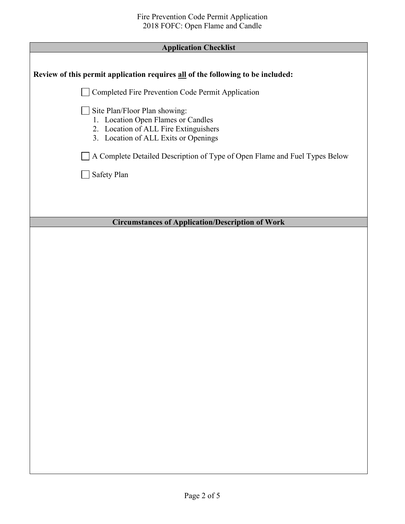| Review of this permit application requires all of the following to be included:                                                                      |  |  |
|------------------------------------------------------------------------------------------------------------------------------------------------------|--|--|
| Completed Fire Prevention Code Permit Application                                                                                                    |  |  |
| Site Plan/Floor Plan showing:<br>1. Location Open Flames or Candles<br>2. Location of ALL Fire Extinguishers<br>3. Location of ALL Exits or Openings |  |  |
| A Complete Detailed Description of Type of Open Flame and Fuel Types Below                                                                           |  |  |
| Safety Plan                                                                                                                                          |  |  |
|                                                                                                                                                      |  |  |
|                                                                                                                                                      |  |  |
| <b>Circumstances of Application/Description of Work</b>                                                                                              |  |  |
|                                                                                                                                                      |  |  |
|                                                                                                                                                      |  |  |
|                                                                                                                                                      |  |  |
|                                                                                                                                                      |  |  |
|                                                                                                                                                      |  |  |
|                                                                                                                                                      |  |  |
|                                                                                                                                                      |  |  |
|                                                                                                                                                      |  |  |
|                                                                                                                                                      |  |  |
|                                                                                                                                                      |  |  |
|                                                                                                                                                      |  |  |
|                                                                                                                                                      |  |  |
|                                                                                                                                                      |  |  |
|                                                                                                                                                      |  |  |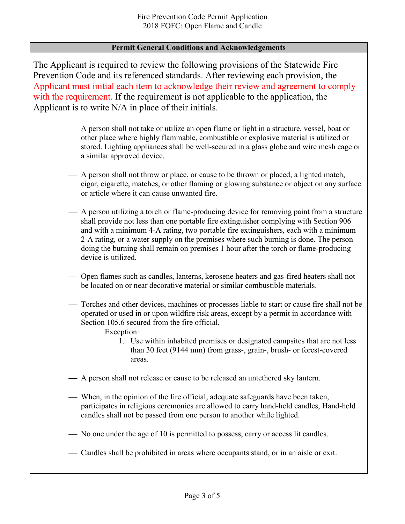#### **Permit General Conditions and Acknowledgements**

The Applicant is required to review the following provisions of the Statewide Fire Prevention Code and its referenced standards. After reviewing each provision, the Applicant must initial each item to acknowledge their review and agreement to comply with the requirement. If the requirement is not applicable to the application, the Applicant is to write N/A in place of their initials.

- A person shall not take or utilize an open flame or light in a structure, vessel, boat or other place where highly flammable, combustible or explosive material is utilized or stored. Lighting appliances shall be well-secured in a glass globe and wire mesh cage or a similar approved device.
- A person shall not throw or place, or cause to be thrown or placed, a lighted match, cigar, cigarette, matches, or other flaming or glowing substance or object on any surface or article where it can cause unwanted fire.
- A person utilizing a torch or flame-producing device for removing paint from a structure shall provide not less than one portable fire extinguisher complying with Section 906 and with a minimum 4-A rating, two portable fire extinguishers, each with a minimum 2-A rating, or a water supply on the premises where such burning is done. The person doing the burning shall remain on premises 1 hour after the torch or flame-producing device is utilized.
- Open flames such as candles, lanterns, kerosene heaters and gas-fired heaters shall not be located on or near decorative material or similar combustible materials.
- Torches and other devices, machines or processes liable to start or cause fire shall not be operated or used in or upon wildfire risk areas, except by a permit in accordance with Section 105.6 secured from the fire official.

Exception:

- 1. Use within inhabited premises or designated campsites that are not less than 30 feet (9144 mm) from grass-, grain-, brush- or forest-covered areas.
- A person shall not release or cause to be released an untethered sky lantern.
- When, in the opinion of the fire official, adequate safeguards have been taken, participates in religious ceremonies are allowed to carry hand-held candles, Hand-held candles shall not be passed from one person to another while lighted.
- No one under the age of 10 is permitted to possess, carry or access lit candles.
- Candles shall be prohibited in areas where occupants stand, or in an aisle or exit.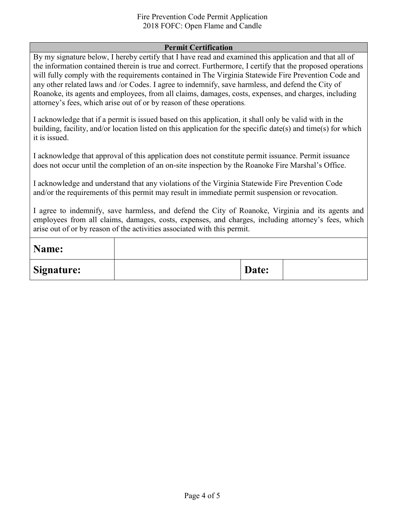#### Fire Prevention Code Permit Application 2018 FOFC: Open Flame and Candle

#### **Permit Certification**

By my signature below, I hereby certify that I have read and examined this application and that all of the information contained therein is true and correct. Furthermore, I certify that the proposed operations will fully comply with the requirements contained in The Virginia Statewide Fire Prevention Code and any other related laws and /or Codes. I agree to indemnify, save harmless, and defend the City of Roanoke, its agents and employees, from all claims, damages, costs, expenses, and charges, including attorney's fees, which arise out of or by reason of these operations.

I acknowledge that if a permit is issued based on this application, it shall only be valid with in the building, facility, and/or location listed on this application for the specific date(s) and time(s) for which it is issued.

I acknowledge that approval of this application does not constitute permit issuance. Permit issuance does not occur until the completion of an on-site inspection by the Roanoke Fire Marshal's Office.

I acknowledge and understand that any violations of the Virginia Statewide Fire Prevention Code and/or the requirements of this permit may result in immediate permit suspension or revocation.

I agree to indemnify, save harmless, and defend the City of Roanoke, Virginia and its agents and employees from all claims, damages, costs, expenses, and charges, including attorney's fees, which arise out of or by reason of the activities associated with this permit.

| Name:             |       |  |
|-------------------|-------|--|
| <b>Signature:</b> | Date: |  |